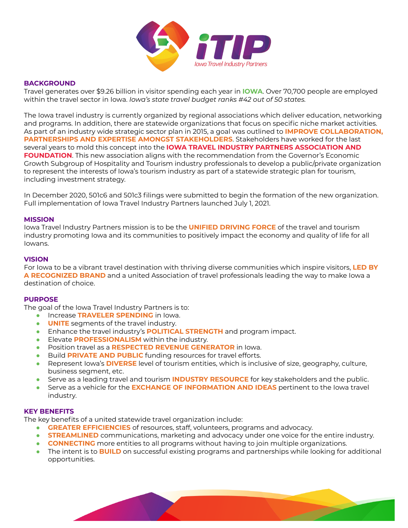

# **BACKGROUND**

Travel generates over \$9.26 billion in visitor spending each year in **IOWA**. Over 70,700 people are employed within the travel sector in Iowa. *Iowa's state travel budget ranks #42 out of 50 states.*

The Iowa travel industry is currently organized by regional associations which deliver education, networking and programs. In addition, there are statewide organizations that focus on specific niche market activities. As part of an industry wide strategic sector plan in 2015, a goal was outlined to **IMPROVE COLLABORATION, PARTNERSHIPS AND EXPERTISE AMONGST STAKEHOLDERS**. Stakeholders have worked for the last several years to mold this concept into the **IOWA TRAVEL INDUSTRY PARTNERS ASSOCIATION AND FOUNDATION**. This new association aligns with the recommendation from the Governor's Economic Growth Subgroup of Hospitality and Tourism industry professionals to develop a public/private organization to represent the interests of Iowa's tourism industry as part of a statewide strategic plan for tourism, including investment strategy.

In December 2020, 501c6 and 501c3 filings were submitted to begin the formation of the new organization. Full implementation of Iowa Travel Industry Partners launched July 1, 2021.

#### **MISSION**

Iowa Travel Industry Partners mission is to be the **UNIFIED DRIVING FORCE** of the travel and tourism industry promoting Iowa and its communities to positively impact the economy and quality of life for all Iowans.

### **VISION**

For Iowa to be a vibrant travel destination with thriving diverse communities which inspire visitors, **LED BY A RECOGNIZED BRAND** and a united Association of travel professionals leading the way to make Iowa a destination of choice.

#### **PURPOSE**

The goal of the Iowa Travel Industry Partners is to:

- Increase **TRAVELER SPENDING** in Iowa.
- **UNITE** segments of the travel industry.
- Enhance the travel industry's **POLITICAL STRENGTH** and program impact.
- Elevate **PROFESSIONALISM** within the industry.
- Position travel as a **RESPECTED REVENUE GENERATOR** in Iowa.
- Build **PRIVATE AND PUBLIC** funding resources for travel efforts.
- Represent Iowa's **DIVERSE** level of tourism entities, which is inclusive of size, geography, culture, business segment, etc.
- Serve as a leading travel and tourism **INDUSTRY RESOURCE** for key stakeholders and the public.
- Serve as a vehicle for the **EXCHANGE OF INFORMATION AND IDEAS** pertinent to the Iowa travel industry.

# **KEY BENEFITS**

The key benefits of a united statewide travel organization include:

- **GREATER EFFICIENCIES** of resources, staff, volunteers, programs and advocacy.
- **STREAMLINED** communications, marketing and advocacy under one voice for the entire industry.
- **CONNECTING** more entities to all programs without having to join multiple organizations.
- The intent is to **BUILD** on successful existing programs and partnerships while looking for additional opportunities.